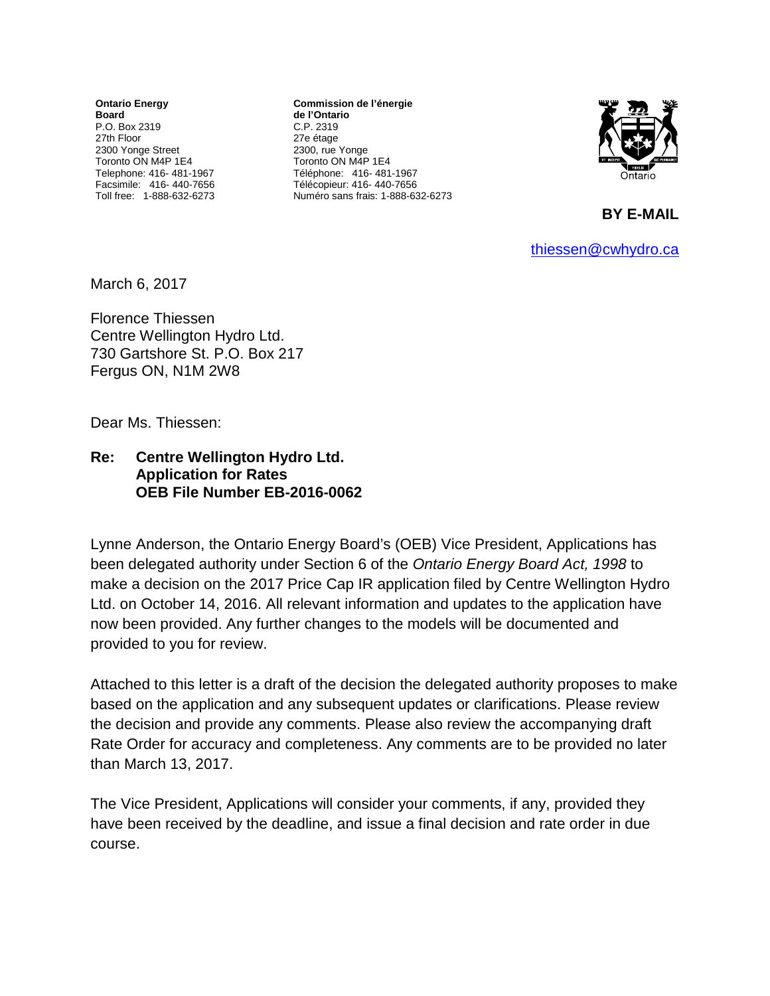**Ontario Energy Board** P.O. Box 2319 27th Floor 2300 Yonge Street Toronto ON M4P 1E4 Telephone: 416- 481-1967 Facsimile: 416- 440-7656 Toll free: 1-888-632-6273

**Commission de l'énergie de l'Ontario** C.P. 2319 27e étage 2300, rue Yonge Toronto ON M4P 1E4 Téléphone: 416- 481-1967 Télécopieur: 416- 440-7656 Numéro sans frais: 1-888-632-6273



**BY E-MAIL** 

[thiessen@cwhydro.ca](mailto:thiessen@cwhydro.ca)

March 6, 2017

Florence Thiessen Centre Wellington Hydro Ltd. 730 Gartshore St. P.O. Box 217 Fergus ON, N1M 2W8

Dear Ms. Thiessen:

**Re: Centre Wellington Hydro Ltd. Application for Rates OEB File Number EB-2016-0062**

Lynne Anderson, the Ontario Energy Board's (OEB) Vice President, Applications has been delegated authority under Section 6 of the *Ontario Energy Board Act, 1998* to make a decision on the 2017 Price Cap IR application filed by Centre Wellington Hydro Ltd. on October 14, 2016. All relevant information and updates to the application have now been provided. Any further changes to the models will be documented and provided to you for review.

Attached to this letter is a draft of the decision the delegated authority proposes to make based on the application and any subsequent updates or clarifications. Please review the decision and provide any comments. Please also review the accompanying draft Rate Order for accuracy and completeness. Any comments are to be provided no later than March 13, 2017.

The Vice President, Applications will consider your comments, if any, provided they have been received by the deadline, and issue a final decision and rate order in due course.